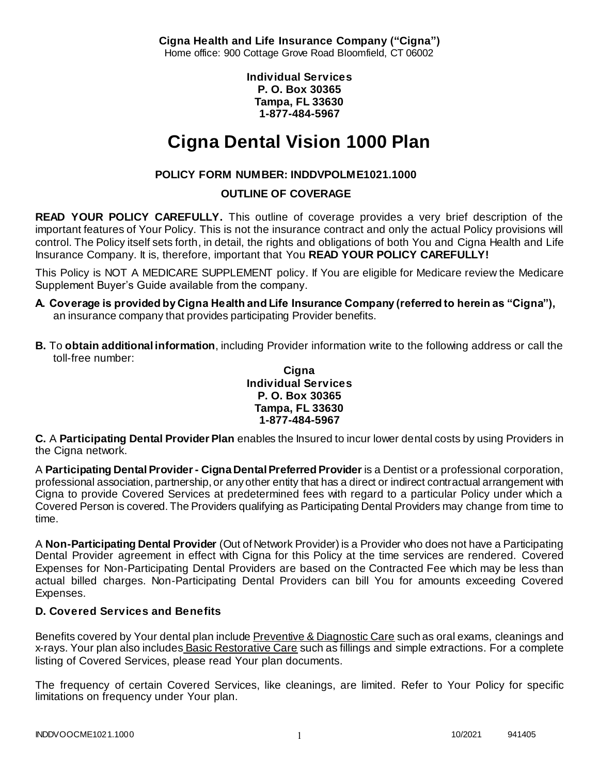**Cigna Health and Life Insurance Company ("Cigna")** Home office: 900 Cottage Grove Road Bloomfield, CT 06002

> **Individual Services P. O. Box 30365 Tampa, FL 33630 1-877-484-5967**

# **Cigna Dental Vision 1000 Plan**

# **POLICY FORM NUMBER: INDDVPOLME1021.1000**

### **OUTLINE OF COVERAGE**

**READ YOUR POLICY CAREFULLY.** This outline of coverage provides a very brief description of the important features of Your Policy. This is not the insurance contract and only the actual Policy provisions will control. The Policy itself sets forth, in detail, the rights and obligations of both You and Cigna Health and Life Insurance Company. It is, therefore, important that You **READ YOUR POLICY CAREFULLY!** 

This Policy is NOT A MEDICARE SUPPLEMENT policy. If You are eligible for Medicare review the Medicare Supplement Buyer's Guide available from the company.

- **A. Coverage is provided by Cigna Health and Life Insurance Company (referred to herein as "Cigna"),**  an insurance company that provides participating Provider benefits.
- **B.** To **obtain additional information**, including Provider information write to the following address or call the toll-free number:

#### **Cigna Individual Services P. O. Box 30365 Tampa, FL 33630 1-877-484-5967**

**C.** A **Participating Dental Provider Plan** enables the Insured to incur lower dental costs by using Providers in the Cigna network.

A **Participating Dental Provider - Cigna Dental Preferred Provider** is a Dentist or a professional corporation, professional association, partnership, or any other entity that has a direct or indirect contractual arrangement with Cigna to provide Covered Services at predetermined fees with regard to a particular Policy under which a Covered Person is covered. The Providers qualifying as Participating Dental Providers may change from time to time.

A **Non-Participating Dental Provider** (Out of Network Provider) is a Provider who does not have a Participating Dental Provider agreement in effect with Cigna for this Policy at the time services are rendered. Covered Expenses for Non-Participating Dental Providers are based on the Contracted Fee which may be less than actual billed charges. Non-Participating Dental Providers can bill You for amounts exceeding Covered Expenses.

# **D. Covered Services and Benefits**

Benefits covered by Your dental plan include Preventive & Diagnostic Care such as oral exams, cleanings and x-rays. Your plan also includes Basic Restorative Care such as fillings and simple extractions. For a complete listing of Covered Services, please read Your plan documents.

The frequency of certain Covered Services, like cleanings, are limited. Refer to Your Policy for specific limitations on frequency under Your plan.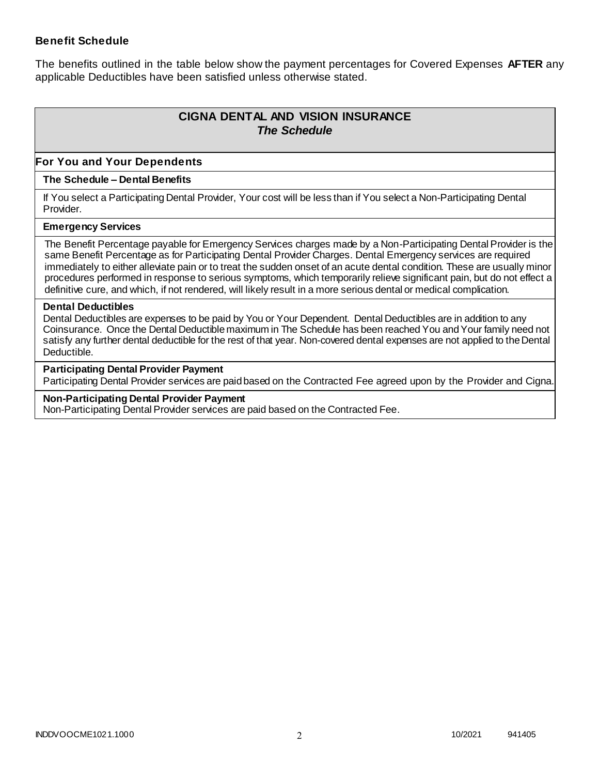### **Benefit Schedule**

The benefits outlined in the table below show the payment percentages for Covered Expenses **AFTER** any applicable Deductibles have been satisfied unless otherwise stated.

# **CIGNA DENTAL AND VISION INSURANCE** *The Schedule*

### **For You and Your Dependents**

#### **The Schedule – Dental Benefits**

If You select a Participating Dental Provider, Your cost will be less than if You select a Non-Participating Dental Provider.

#### **Emergency Services**

The Benefit Percentage payable for Emergency Services charges made by a Non-Participating Dental Provider is the same Benefit Percentage as for Participating Dental Provider Charges. Dental Emergency services are required immediately to either alleviate pain or to treat the sudden onset of an acute dental condition. These are usually minor procedures performed in response to serious symptoms, which temporarily relieve significant pain, but do not effect a definitive cure, and which, if not rendered, will likely result in a more serious dental or medical complication.

#### **Dental Deductibles**

Dental Deductibles are expenses to be paid by You or Your Dependent. Dental Deductibles are in addition to any Coinsurance. Once the Dental Deductible maximum in The Schedule has been reached You and Your family need not satisfy any further dental deductible for the rest of that year. Non-covered dental expenses are not applied to the Dental Deductible.

#### **Participating Dental Provider Payment**

Participating Dental Provider services are paid based on the Contracted Fee agreed upon by the Provider and Cigna.

#### **Non-Participating Dental Provider Payment**

Non-Participating Dental Provider services are paid based on the Contracted Fee.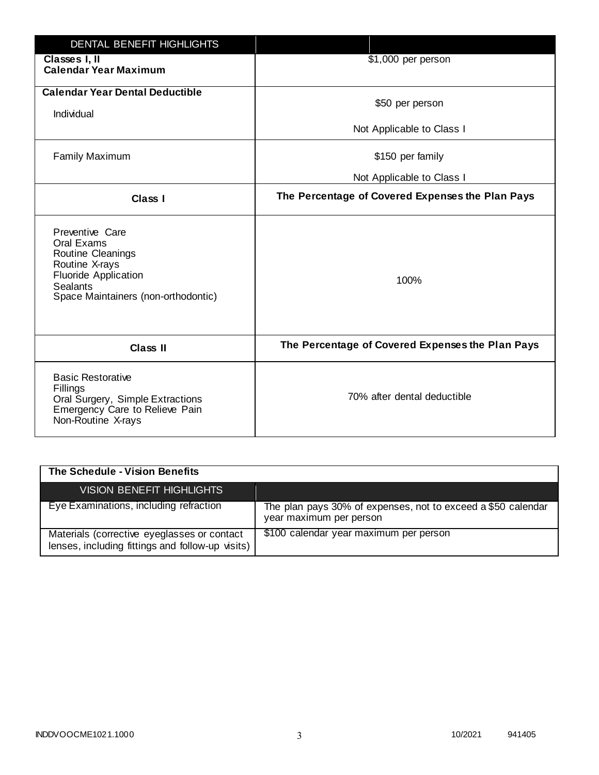| <b>DENTAL BENEFIT HIGHLIGHTS</b>                                                                                                                              |                                                  |
|---------------------------------------------------------------------------------------------------------------------------------------------------------------|--------------------------------------------------|
| Classes I, II<br><b>Calendar Year Maximum</b>                                                                                                                 | \$1,000 per person                               |
| <b>Calendar Year Dental Deductible</b><br>Individual                                                                                                          | \$50 per person                                  |
|                                                                                                                                                               | Not Applicable to Class I                        |
| <b>Family Maximum</b>                                                                                                                                         | \$150 per family                                 |
|                                                                                                                                                               | Not Applicable to Class I                        |
| <b>Class I</b>                                                                                                                                                | The Percentage of Covered Expenses the Plan Pays |
| Preventive Care<br>Oral Exams<br>Routine Cleanings<br>Routine X-rays<br><b>Fluoride Application</b><br><b>Sealants</b><br>Space Maintainers (non-orthodontic) | 100%                                             |
| <b>Class II</b>                                                                                                                                               | The Percentage of Covered Expenses the Plan Pays |
| <b>Basic Restorative</b><br>Fillings<br>Oral Surgery, Simple Extractions<br>Emergency Care to Relieve Pain<br>Non-Routine X-rays                              | 70% after dental deductible                      |

| The Schedule - Vision Benefits                                                                  |                                                                                         |
|-------------------------------------------------------------------------------------------------|-----------------------------------------------------------------------------------------|
| <b>VISION BENEFIT HIGHLIGHTS,</b>                                                               |                                                                                         |
| Eye Examinations, including refraction                                                          | The plan pays 30% of expenses, not to exceed a \$50 calendar<br>year maximum per person |
| Materials (corrective eyeglasses or contact<br>lenses, including fittings and follow-up visits) | \$100 calendar year maximum per person                                                  |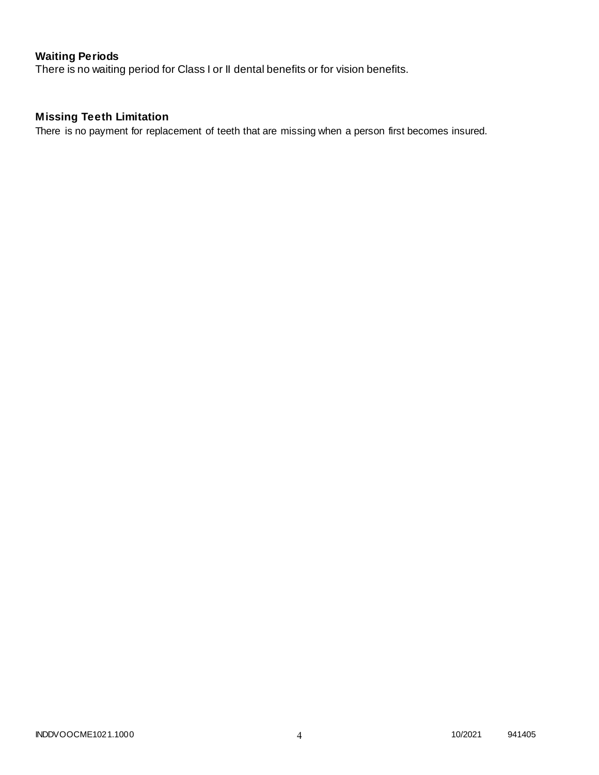# **Waiting Periods**

There is no waiting period for Class I or II dental benefits or for vision benefits.

# **Missing Teeth Limitation**

There is no payment for replacement of teeth that are missing when a person first becomes insured.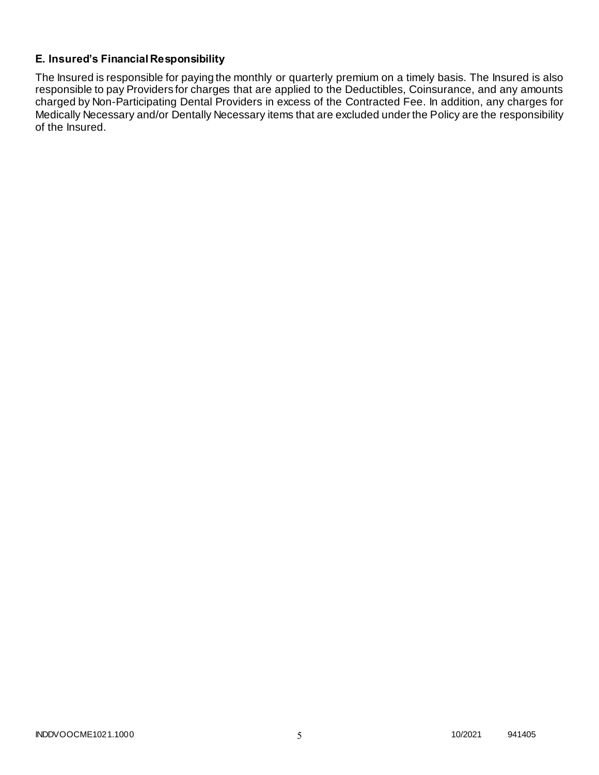### **E. Insured's Financial Responsibility**

The Insured is responsible for paying the monthly or quarterly premium on a timely basis. The Insured is also responsible to pay Providers for charges that are applied to the Deductibles, Coinsurance, and any amounts charged by Non-Participating Dental Providers in excess of the Contracted Fee. In addition, any charges for Medically Necessary and/or Dentally Necessary items that are excluded under the Policy are the responsibility of the Insured.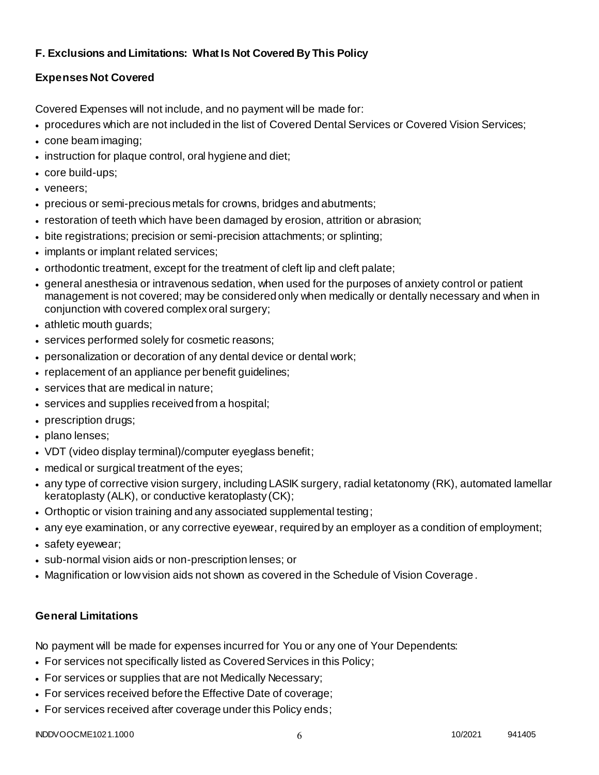## **F. Exclusions and Limitations: What Is Not Covered By This Policy**

# **Expenses Not Covered**

Covered Expenses will not include, and no payment will be made for:

- procedures which are not included in the list of Covered Dental Services or Covered Vision Services;
- cone beam imaging;
- instruction for plaque control, oral hygiene and diet;
- core build-ups;
- veneers;
- precious or semi-precious metals for crowns, bridges and abutments;
- restoration of teeth which have been damaged by erosion, attrition or abrasion;
- bite registrations; precision or semi-precision attachments; or splinting;
- implants or implant related services;
- orthodontic treatment, except for the treatment of cleft lip and cleft palate;
- general anesthesia or intravenous sedation, when used for the purposes of anxiety control or patient management is not covered; may be considered only when medically or dentally necessary and when in conjunction with covered complex oral surgery;
- athletic mouth guards;
- services performed solely for cosmetic reasons;
- personalization or decoration of any dental device or dental work;
- replacement of an appliance per benefit quidelines;
- services that are medical in nature;
- services and supplies received from a hospital;
- prescription drugs;
- plano lenses;
- VDT (video display terminal)/computer eyeglass benefit;
- medical or surgical treatment of the eyes;
- any type of corrective vision surgery, including LASIK surgery, radial ketatonomy (RK), automated lamellar keratoplasty (ALK), or conductive keratoplasty (CK);
- Orthoptic or vision training and any associated supplemental testing;
- any eye examination, or any corrective eyewear, required by an employer as a condition of employment;
- safety eyewear;
- sub-normal vision aids or non-prescription lenses; or
- Magnification or low vision aids not shown as covered in the Schedule of Vision Coverage.

# **General Limitations**

No payment will be made for expenses incurred for You or any one of Your Dependents:

- For services not specifically listed as Covered Services in this Policy;
- For services or supplies that are not Medically Necessary;
- For services received before the Effective Date of coverage;
- For services received after coverage under this Policy ends;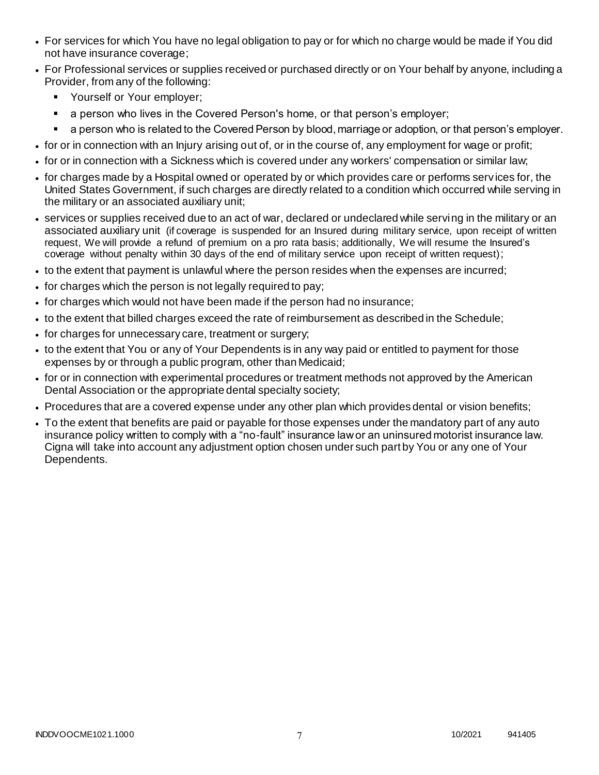- For services for which You have no legal obligation to pay or for which no charge would be made if You did not have insurance coverage;
- For Professional services or supplies received or purchased directly or on Your behalf by anyone, including a Provider, from any of the following:
	- **Yourself or Your employer;**
	- a person who lives in the Covered Person's home, or that person's employer;
	- a person who is related to the Covered Person by blood, marriage or adoption, or that person's employer.
- for or in connection with an Injury arising out of, or in the course of, any employment for wage or profit;
- for or in connection with a Sickness which is covered under any workers' compensation or similar law;
- for charges made by a Hospital owned or operated by or which provides care or performs serv ices for, the United States Government, if such charges are directly related to a condition which occurred while serving in the military or an associated auxiliary unit;
- services or supplies received due to an act of war, declared or undeclared while serving in the military or an associated auxiliary unit (if coverage is suspended for an Insured during military service, upon receipt of written request, We will provide a refund of premium on a pro rata basis; additionally, We will resume the Insured's coverage without penalty within 30 days of the end of military service upon receipt of written request);
- to the extent that payment is unlawful where the person resides when the expenses are incurred;
- for charges which the person is not legally required to pay;
- for charges which would not have been made if the person had no insurance;
- to the extent that billed charges exceed the rate of reimbursement as described in the Schedule;
- for charges for unnecessary care, treatment or surgery;
- to the extent that You or any of Your Dependents is in any way paid or entitled to payment for those expenses by or through a public program, other than Medicaid;
- for or in connection with experimental procedures or treatment methods not approved by the American Dental Association or the appropriate dental specialty society;
- Procedures that are a covered expense under any other plan which provides dental or vision benefits;
- To the extent that benefits are paid or payable for those expenses under the mandatory part of any auto insurance policy written to comply with a "no-fault" insurance law or an uninsured motorist insurance law. Cigna will take into account any adjustment option chosen under such part by You or any one of Your Dependents.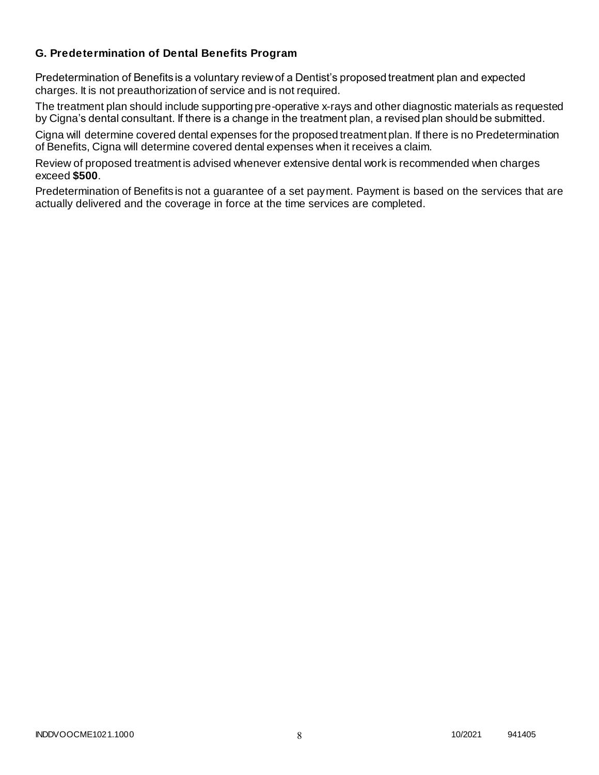### **G. Predetermination of Dental Benefits Program**

Predetermination of Benefits is a voluntary review of a Dentist's proposed treatment plan and expected charges. It is not preauthorization of service and is not required.

The treatment plan should include supporting pre-operative x-rays and other diagnostic materials as requested by Cigna's dental consultant. If there is a change in the treatment plan, a revised plan should be submitted.

Cigna will determine covered dental expenses for the proposed treatment plan. If there is no Predetermination of Benefits, Cigna will determine covered dental expenses when it receives a claim.

Review of proposed treatment is advised whenever extensive dental work is recommended when charges exceed **\$500**.

Predetermination of Benefits is not a guarantee of a set payment. Payment is based on the services that are actually delivered and the coverage in force at the time services are completed.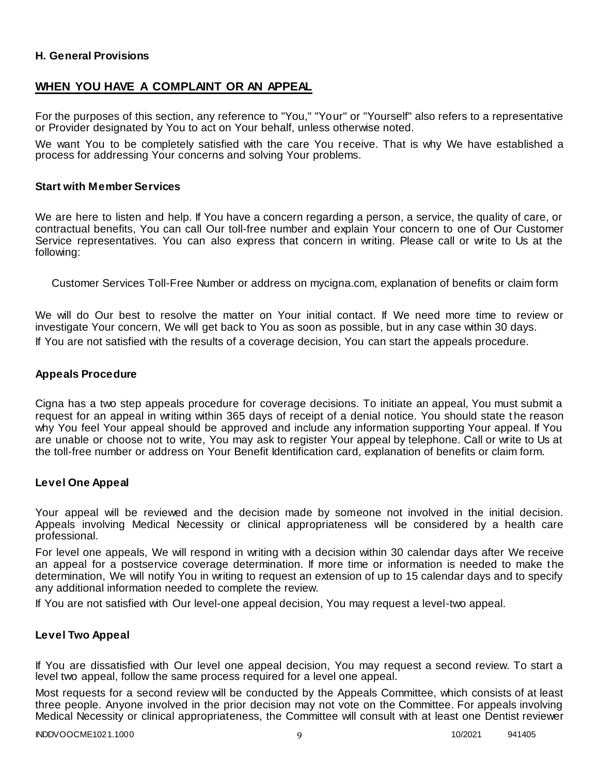### **H. General Provisions**

### **WHEN YOU HAVE A COMPLAINT OR AN APPEAL**

For the purposes of this section, any reference to "You," "Your" or "Yourself" also refers to a representative or Provider designated by You to act on Your behalf, unless otherwise noted.

We want You to be completely satisfied with the care You receive. That is why We have established a process for addressing Your concerns and solving Your problems.

#### **Start with Member Services**

We are here to listen and help. If You have a concern regarding a person, a service, the quality of care, or contractual benefits, You can call Our toll-free number and explain Your concern to one of Our Customer Service representatives. You can also express that concern in writing. Please call or write to Us at the following:

Customer Services Toll-Free Number or address on mycigna.com, explanation of benefits or claim form

We will do Our best to resolve the matter on Your initial contact. If We need more time to review or investigate Your concern, We will get back to You as soon as possible, but in any case within 30 days. If You are not satisfied with the results of a coverage decision, You can start the appeals procedure.

#### **Appeals Procedure**

Cigna has a two step appeals procedure for coverage decisions. To initiate an appeal, You must submit a request for an appeal in writing within 365 days of receipt of a denial notice. You should state t he reason why You feel Your appeal should be approved and include any information supporting Your appeal. If You are unable or choose not to write, You may ask to register Your appeal by telephone. Call or write to Us at the toll-free number or address on Your Benefit Identification card, explanation of benefits or claim form.

#### **Level One Appeal**

Your appeal will be reviewed and the decision made by someone not involved in the initial decision. Appeals involving Medical Necessity or clinical appropriateness will be considered by a health care professional.

For level one appeals, We will respond in writing with a decision within 30 calendar days after We receive an appeal for a postservice coverage determination. If more time or information is needed to make the determination, We will notify You in writing to request an extension of up to 15 calendar days and to specify any additional information needed to complete the review.

If You are not satisfied with Our level-one appeal decision, You may request a level-two appeal.

#### **Level Two Appeal**

If You are dissatisfied with Our level one appeal decision, You may request a second review. To start a level two appeal, follow the same process required for a level one appeal.

Most requests for a second review will be conducted by the Appeals Committee, which consists of at least three people. Anyone involved in the prior decision may not vote on the Committee. For appeals involving Medical Necessity or clinical appropriateness, the Committee will consult with at least one Dentist reviewer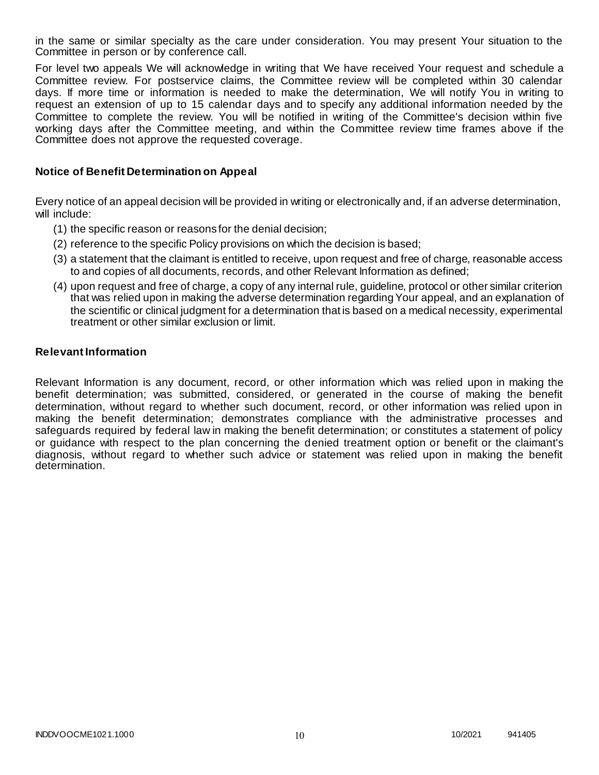in the same or similar specialty as the care under consideration. You may present Your situation to the Committee in person or by conference call.

For level two appeals We will acknowledge in writing that We have received Your request and schedule a Committee review. For postservice claims, the Committee review will be completed within 30 calendar days. If more time or information is needed to make the determination, We will notify You in writing to request an extension of up to 15 calendar days and to specify any additional information needed by the Committee to complete the review. You will be notified in writing of the Committee's decision within five working days after the Committee meeting, and within the Committee review time frames above if the Committee does not approve the requested coverage.

#### **Notice of Benefit Determination on Appeal**

Every notice of an appeal decision will be provided in writing or electronically and, if an adverse determination, will include:

- (1) the specific reason or reasons for the denial decision;
- (2) reference to the specific Policy provisions on which the decision is based;
- (3) a statement that the claimant is entitled to receive, upon request and free of charge, reasonable access to and copies of all documents, records, and other Relevant Information as defined;
- (4) upon request and free of charge, a copy of any internal rule, guideline, protocol or other similar criterion that was relied upon in making the adverse determination regarding Your appeal, and an explanation of the scientific or clinical judgment for a determination that is based on a medical necessity, experimental treatment or other similar exclusion or limit.

#### **Relevant Information**

Relevant Information is any document, record, or other information which was relied upon in making the benefit determination; was submitted, considered, or generated in the course of making the benefit determination, without regard to whether such document, record, or other information was relied upon in making the benefit determination; demonstrates compliance with the administrative processes and safeguards required by federal law in making the benefit determination; or constitutes a statement of policy or guidance with respect to the plan concerning the denied treatment option or benefit or the claimant's diagnosis, without regard to whether such advice or statement was relied upon in making the benefit determination.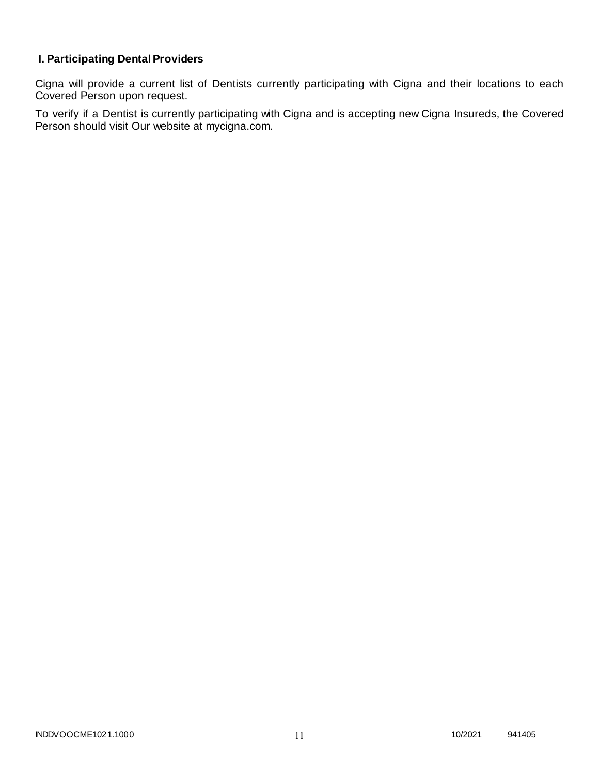# **I. Participating Dental Providers**

Cigna will provide a current list of Dentists currently participating with Cigna and their locations to each Covered Person upon request.

To verify if a Dentist is currently participating with Cigna and is accepting new Cigna Insureds, the Covered Person should visit Our website at mycigna.com.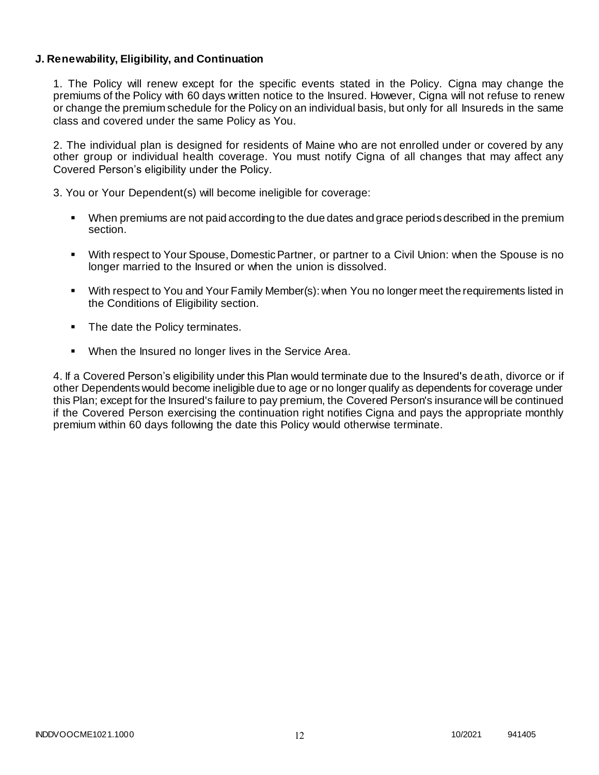### **J. Renewability, Eligibility, and Continuation**

1. The Policy will renew except for the specific events stated in the Policy. Cigna may change the premiums of the Policy with 60 days written notice to the Insured. However, Cigna will not refuse to renew or change the premium schedule for the Policy on an individual basis, but only for all Insureds in the same class and covered under the same Policy as You.

2. The individual plan is designed for residents of Maine who are not enrolled under or covered by any other group or individual health coverage. You must notify Cigna of all changes that may affect any Covered Person's eligibility under the Policy.

3. You or Your Dependent(s) will become ineligible for coverage:

- When premiums are not paid according to the due dates and grace periods described in the premium section.
- With respect to Your Spouse, Domestic Partner, or partner to a Civil Union: when the Spouse is no longer married to the Insured or when the union is dissolved.
- With respect to You and Your Family Member(s): when You no longer meet the requirements listed in the Conditions of Eligibility section.
- The date the Policy terminates.
- When the Insured no longer lives in the Service Area.

4. If a Covered Person's eligibility under this Plan would terminate due to the Insured's death, divorce or if other Dependents would become ineligible due to age or no longer qualify as dependents for coverage under this Plan; except for the Insured's failure to pay premium, the Covered Person's insurance will be continued if the Covered Person exercising the continuation right notifies Cigna and pays the appropriate monthly premium within 60 days following the date this Policy would otherwise terminate.